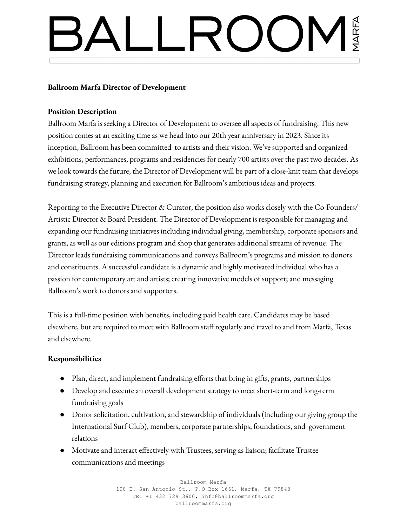# **Ballroom Marfa Director of Development**

## **Position Description**

Ballroom Marfa is seeking a Director of Development to oversee all aspects of fundraising. This new position comes at an exciting time as we head into our 20th year anniversary in 2023. Since its inception, Ballroom has been committed to artists and their vision. We've supported and organized exhibitions, performances, programs and residencies for nearly 700 artists over the past two decades. As we look towards the future, the Director of Development will be part of a close-knit team that develops fundraising strategy, planning and execution for Ballroom's ambitious ideas and projects.

Reporting to the Executive Director & Curator, the position also works closely with the Co-Founders/ Artistic Director & Board President. The Director of Development is responsible for managing and expanding our fundraising initiatives including individual giving, membership, corporate sponsors and grants, as well as our editions program and shop that generates additional streams of revenue. The Director leads fundraising communications and conveys Ballroom's programs and mission to donors and constituents. A successful candidate is a dynamic and highly motivated individual who has a passion for contemporary art and artists; creating innovative models of support; and messaging Ballroom's work to donors and supporters.

This is a full-time position with benefits, including paid health care. Candidates may be based elsewhere, but are required to meet with Ballroom staff regularly and travel to and from Marfa, Texas and elsewhere.

## **Responsibilities**

- Plan, direct, and implement fundraising efforts that bring in gifts, grants, partnerships
- Develop and execute an overall development strategy to meet short-term and long-term fundraising goals
- Donor solicitation, cultivation, and stewardship of individuals (including our giving group the International Surf Club), members, corporate partnerships, foundations, and government relations
- Motivate and interact effectively with Trustees, serving as liaison; facilitate Trustee communications and meetings

Ballroom Marfa 108 E. San Antonio St., P.O Box 1661, Marfa, TX 79843 TEL +1 432 729 3600, info@ballroommarfa.org ballroommarfa.org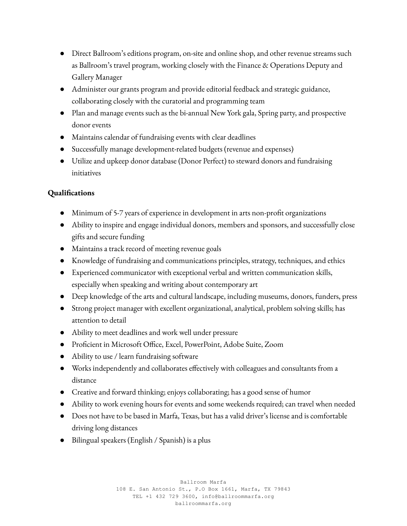- Direct Ballroom's editions program, on-site and online shop, and other revenue streams such as Ballroom's travel program, working closely with the Finance & Operations Deputy and Gallery Manager
- Administer our grants program and provide editorial feedback and strategic guidance, collaborating closely with the curatorial and programming team
- Plan and manage events such as the bi-annual New York gala, Spring party, and prospective donor events
- Maintains calendar of fundraising events with clear deadlines
- Successfully manage development-related budgets (revenue and expenses)
- Utilize and upkeep donor database (Donor Perfect) to steward donors and fundraising initiatives

## **Qualifications**

- Minimum of 5-7 years of experience in development in arts non-profit organizations
- Ability to inspire and engage individual donors, members and sponsors, and successfully close gifts and secure funding
- Maintains a track record of meeting revenue goals
- Knowledge of fundraising and communications principles, strategy, techniques, and ethics
- Experienced communicator with exceptional verbal and written communication skills, especially when speaking and writing about contemporary art
- Deep knowledge of the arts and cultural landscape, including museums, donors, funders, press
- Strong project manager with excellent organizational, analytical, problem solving skills; has attention to detail
- Ability to meet deadlines and work well under pressure
- Proficient in Microsoft Office, Excel, PowerPoint, Adobe Suite, Zoom
- Ability to use / learn fundraising software
- Works independently and collaborates effectively with colleagues and consultants from a distance
- Creative and forward thinking; enjoys collaborating; has a good sense of humor
- Ability to work evening hours for events and some weekends required; can travel when needed
- Does not have to be based in Marfa, Texas, but has a valid driver's license and is comfortable driving long distances
- Bilingual speakers (English / Spanish) is a plus